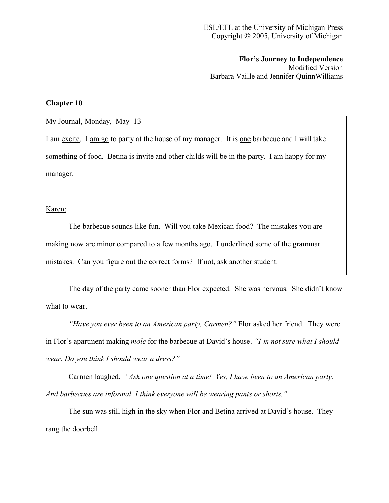**Flor's Journey to Independence** Modified Version Barbara Vaille and Jennifer QuinnWilliams

## **Chapter 10**

## My Journal, Monday, May 13

I am excite. I am go to party at the house of my manager. It is one barbecue and I will take something of food. Betina is invite and other childs will be in the party. I am happy for my manager.

Karen:

The barbecue sounds like fun. Will you take Mexican food? The mistakes you are making now are minor compared to a few months ago. I underlined some of the grammar mistakes. Can you figure out the correct forms? If not, ask another student.

The day of the party came sooner than Flor expected. She was nervous. She didn't know what to wear.

*"Have you ever been to an American party, Carmen?"* Flor asked her friend. They were in Flor's apartment making *mole* for the barbecue at David's house. *"I'm not sure what I should wear. Do you think I should wear a dress?"*

Carmen laughed. *"Ask one question at a time! Yes, I have been to an American party. And barbecues are informal. I think everyone will be wearing pants or shorts."*

The sun was still high in the sky when Flor and Betina arrived at David's house. They rang the doorbell.